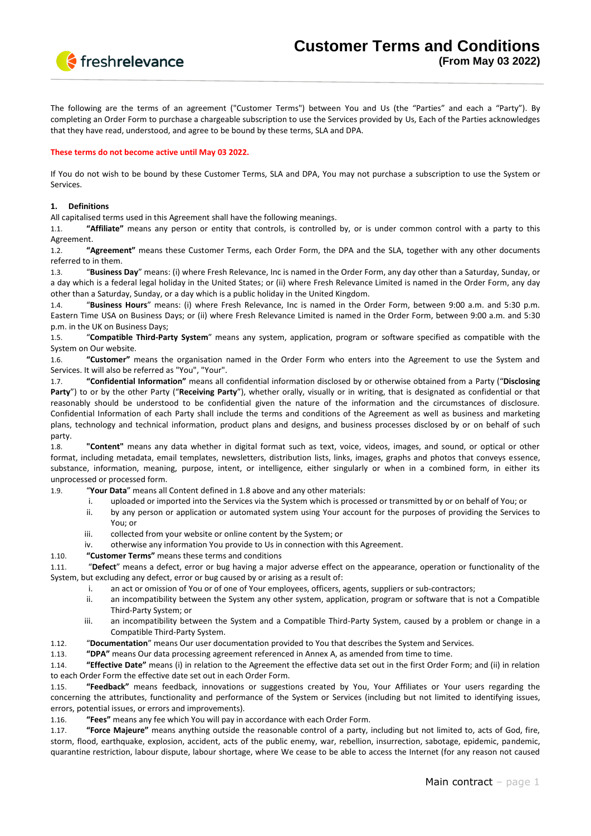

The following are the terms of an agreement ("Customer Terms") between You and Us (the "Parties" and each a "Party"). By completing an Order Form to purchase a chargeable subscription to use the Services provided by Us, Each of the Parties acknowledges that they have read, understood, and agree to be bound by these terms, SLA and DPA.

### **These terms do not become active until May 03 2022.**

If You do not wish to be bound by these Customer Terms, SLA and DPA, You may not purchase a subscription to use the System or Services.

### **1. Definitions**

All capitalised terms used in this Agreement shall have the following meanings.

1.1. **"Affiliate"** means any person or entity that controls, is controlled by, or is under common control with a party to this Agreement.

1.2. **"Agreement"** means these Customer Terms, each Order Form, the DPA and the SLA, together with any other documents referred to in them.

1.3. "**Business Day**" means: (i) where Fresh Relevance, Inc is named in the Order Form, any day other than a Saturday, Sunday, or a day which is a federal legal holiday in the United States; or (ii) where Fresh Relevance Limited is named in the Order Form, any day other than a Saturday, Sunday, or a day which is a public holiday in the United Kingdom.

1.4. "**Business Hours**" means: (i) where Fresh Relevance, Inc is named in the Order Form, between 9:00 a.m. and 5:30 p.m. Eastern Time USA on Business Days; or (ii) where Fresh Relevance Limited is named in the Order Form, between 9:00 a.m. and 5:30 p.m. in the UK on Business Days;

1.5. "**Compatible Third-Party System**" means any system, application, program or software specified as compatible with the System on Our website.

1.6. **"Customer"** means the organisation named in the Order Form who enters into the Agreement to use the System and Services. It will also be referred as "You", "Your".

1.7. **"Confidential Information"** means all confidential information disclosed by or otherwise obtained from a Party ("**Disclosing Party**") to or by the other Party ("**Receiving Party**"), whether orally, visually or in writing, that is designated as confidential or that reasonably should be understood to be confidential given the nature of the information and the circumstances of disclosure. Confidential Information of each Party shall include the terms and conditions of the Agreement as well as business and marketing plans, technology and technical information, product plans and designs, and business processes disclosed by or on behalf of such party.

1.8. **"Content"** means any data whether in digital format such as text, voice, videos, images, and sound, or optical or other format, including metadata, email templates, newsletters, distribution lists, links, images, graphs and photos that conveys essence, substance, information, meaning, purpose, intent, or intelligence, either singularly or when in a combined form, in either its unprocessed or processed form.

1.9. "**Your Data**" means all Content defined in 1.8 above and any other materials:

- i. uploaded or imported into the Services via the System which is processed or transmitted by or on behalf of You; or
- ii. by any person or application or automated system using Your account for the purposes of providing the Services to You; or
- iii. collected from your website or online content by the System; or
- iv. otherwise any information You provide to Us in connection with this Agreement.
- 1.10. **"Customer Terms"** means these terms and conditions

1.11. "**Defect**" means a defect, error or bug having a major adverse effect on the appearance, operation or functionality of the System, but excluding any defect, error or bug caused by or arising as a result of:

- i. an act or omission of You or of one of Your employees, officers, agents, suppliers or sub-contractors;
- ii. an incompatibility between the System any other system, application, program or software that is not a Compatible Third-Party System; or
- iii. an incompatibility between the System and a Compatible Third-Party System, caused by a problem or change in a Compatible Third-Party System.
- 1.12. "**Documentation**" means Our user documentation provided to You that describes the System and Services.
- 1.13. **"DPA"** means Our data processing agreement referenced in Annex A, as amended from time to time.

1.14. **"Effective Date"** means (i) in relation to the Agreement the effective data set out in the first Order Form; and (ii) in relation to each Order Form the effective date set out in each Order Form.

1.15. **"Feedback"** means feedback, innovations or suggestions created by You, Your Affiliates or Your users regarding the concerning the attributes, functionality and performance of the System or Services (including but not limited to identifying issues, errors, potential issues, or errors and improvements).

1.16. **"Fees"** means any fee which You will pay in accordance with each Order Form.

1.17. **"Force Majeure"** means anything outside the reasonable control of a party, including but not limited to, acts of God, fire, storm, flood, earthquake, explosion, accident, acts of the public enemy, war, rebellion, insurrection, sabotage, epidemic, pandemic, quarantine restriction, labour dispute, labour shortage, where We cease to be able to access the Internet (for any reason not caused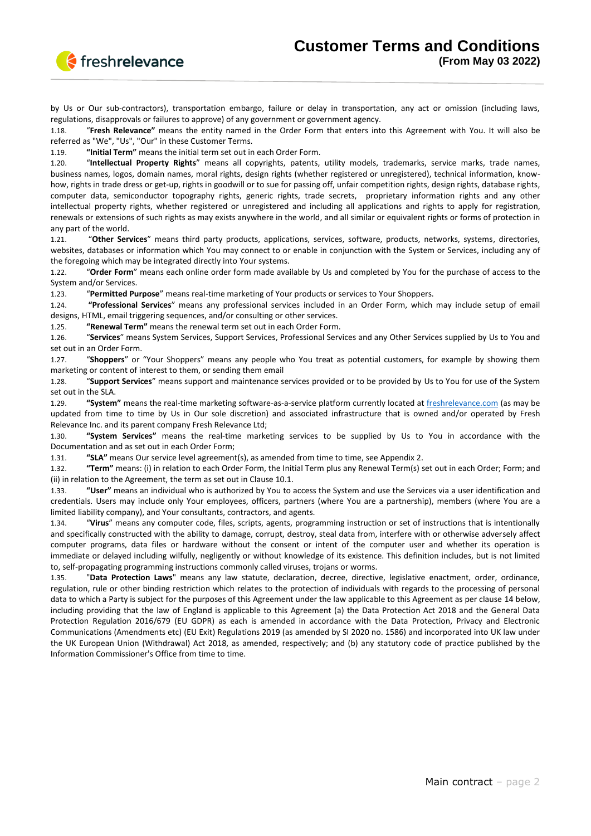

by Us or Our sub-contractors), transportation embargo, failure or delay in transportation, any act or omission (including laws, regulations, disapprovals or failures to approve) of any government or government agency.

1.18. "**Fresh Relevance"** means the entity named in the Order Form that enters into this Agreement with You. It will also be referred as "We", "Us", "Our" in these Customer Terms.

1.19. **"Initial Term"** means the initial term set out in each Order Form.

1.20. "**Intellectual Property Rights**" means all copyrights, patents, utility models, trademarks, service marks, trade names, business names, logos, domain names, moral rights, design rights (whether registered or unregistered), technical information, knowhow, rights in trade dress or get-up, rights in goodwill or to sue for passing off, unfair competition rights, design rights, database rights, computer data, semiconductor topography rights, generic rights, trade secrets, proprietary information rights and any other intellectual property rights, whether registered or unregistered and including all applications and rights to apply for registration, renewals or extensions of such rights as may exists anywhere in the world, and all similar or equivalent rights or forms of protection in any part of the world.

1.21. "**Other Services**" means third party products, applications, services, software, products, networks, systems, directories, websites, databases or information which You may connect to or enable in conjunction with the System or Services, including any of the foregoing which may be integrated directly into Your systems.

1.22. "**Order Form**" means each online order form made available by Us and completed by You for the purchase of access to the System and/or Services.

1.23. "**Permitted Purpose**" means real-time marketing of Your products or services to Your Shoppers.

1.24. **"Professional Services**" means any professional services included in an Order Form, which may include setup of email designs, HTML, email triggering sequences, and/or consulting or other services.

1.25. **"Renewal Term"** means the renewal term set out in each Order Form.

1.26. "**Services**" means System Services, Support Services, Professional Services and any Other Services supplied by Us to You and set out in an Order Form.

1.27. "**Shoppers**" or "Your Shoppers" means any people who You treat as potential customers, for example by showing them marketing or content of interest to them, or sending them email

1.28. "**Support Services**" means support and maintenance services provided or to be provided by Us to You for use of the System set out in the SLA.

1.29. **"System"** means the real-time marketing software-as-a-service platform currently located at [freshrelevance.com](http://freshrelevance.com/) (as may be updated from time to time by Us in Our sole discretion) and associated infrastructure that is owned and/or operated by Fresh Relevance Inc. and its parent company Fresh Relevance Ltd;

1.30. **"System Services"** means the real-time marketing services to be supplied by Us to You in accordance with the Documentation and as set out in each Order Form;

1.31. **"SLA"** means Our service level agreement(s), as amended from time to time, see Appendix 2.

1.32. **"Term"** means: (i) in relation to each Order Form, the Initial Term plus any Renewal Term(s) set out in each Order; Form; and (ii) in relation to the Agreement, the term as set out in Clause 10.1.

1.33. **"User"** means an individual who is authorized by You to access the System and use the Services via a user identification and credentials. Users may include only Your employees, officers, partners (where You are a partnership), members (where You are a limited liability company), and Your consultants, contractors, and agents.

1.34. "**Virus**" means any computer code, files, scripts, agents, programming instruction or set of instructions that is intentionally and specifically constructed with the ability to damage, corrupt, destroy, steal data from, interfere with or otherwise adversely affect computer programs, data files or hardware without the consent or intent of the computer user and whether its operation is immediate or delayed including wilfully, negligently or without knowledge of its existence. This definition includes, but is not limited to, self-propagating programming instructions commonly called viruses, trojans or worms.

1.35. "**Data Protection Laws**" means any law statute, declaration, decree, directive, legislative enactment, order, ordinance, regulation, rule or other binding restriction which relates to the protection of individuals with regards to the processing of personal data to which a Party is subject for the purposes of this Agreement under the law applicable to this Agreement as per clause 14 below, including providing that the law of England is applicable to this Agreement (a) the Data Protection Act 2018 and the General Data Protection Regulation 2016/679 (EU GDPR) as each is amended in accordance with the Data Protection, Privacy and Electronic Communications (Amendments etc) (EU Exit) Regulations 2019 (as amended by SI 2020 no. 1586) and incorporated into UK law under the UK European Union (Withdrawal) Act 2018, as amended, respectively; and (b) any statutory code of practice published by the Information Commissioner's Office from time to time.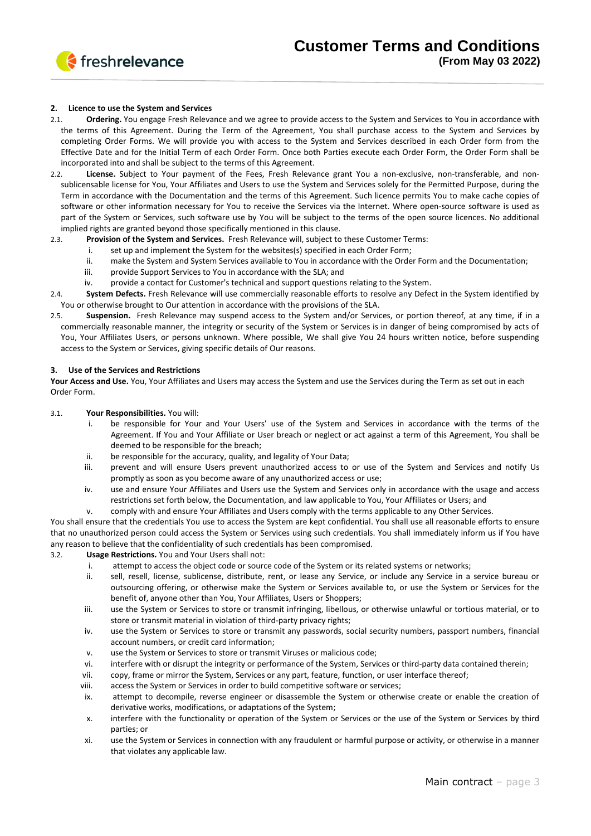

### **2. Licence to use the System and Services**

- 2.1. **Ordering.** You engage Fresh Relevance and we agree to provide access to the System and Services to You in accordance with the terms of this Agreement. During the Term of the Agreement, You shall purchase access to the System and Services by completing Order Forms. We will provide you with access to the System and Services described in each Order form from the Effective Date and for the Initial Term of each Order Form. Once both Parties execute each Order Form, the Order Form shall be incorporated into and shall be subject to the terms of this Agreement.
- 2.2. **License.** Subject to Your payment of the Fees, Fresh Relevance grant You a non-exclusive, non-transferable, and nonsublicensable license for You, Your Affiliates and Users to use the System and Services solely for the Permitted Purpose, during the Term in accordance with the Documentation and the terms of this Agreement. Such licence permits You to make cache copies of software or other information necessary for You to receive the Services via the Internet. Where open-source software is used as part of the System or Services, such software use by You will be subject to the terms of the open source licences. No additional implied rights are granted beyond those specifically mentioned in this clause.
- 2.3. **Provision of the System and Services.** Fresh Relevance will, subject to these Customer Terms:
	- i. set up and implement the System for the websites(s) specified in each Order Form;
	- ii. make the System and System Services available to You in accordance with the Order Form and the Documentation;
	- iii. provide Support Services to You in accordance with the SLA; and
	- iv. provide a contact for Customer's technical and support questions relating to the System.
- 2.4. **System Defects.** Fresh Relevance will use commercially reasonable efforts to resolve any Defect in the System identified by You or otherwise brought to Our attention in accordance with the provisions of the SLA.
- 2.5. **Suspension.** Fresh Relevance may suspend access to the System and/or Services, or portion thereof, at any time, if in a commercially reasonable manner, the integrity or security of the System or Services is in danger of being compromised by acts of You, Your Affiliates Users, or persons unknown. Where possible, We shall give You 24 hours written notice, before suspending access to the System or Services, giving specific details of Our reasons.

#### **3. Use of the Services and Restrictions**

**Your Access and Use.** You, Your Affiliates and Users may access the System and use the Services during the Term as set out in each Order Form.

#### 3.1. **Your Responsibilities.** You will:

- i. be responsible for Your and Your Users' use of the System and Services in accordance with the terms of the Agreement. If You and Your Affiliate or User breach or neglect or act against a term of this Agreement, You shall be deemed to be responsible for the breach;
- ii. be responsible for the accuracy, quality, and legality of Your Data;
- iii. prevent and will ensure Users prevent unauthorized access to or use of the System and Services and notify Us promptly as soon as you become aware of any unauthorized access or use;
- iv. use and ensure Your Affiliates and Users use the System and Services only in accordance with the usage and access restrictions set forth below, the Documentation, and law applicable to You, Your Affiliates or Users; and
- v. comply with and ensure Your Affiliates and Users comply with the terms applicable to any Other Services.

You shall ensure that the credentials You use to access the System are kept confidential. You shall use all reasonable efforts to ensure that no unauthorized person could access the System or Services using such credentials. You shall immediately inform us if You have any reason to believe that the confidentiality of such credentials has been compromised.

3.2. **Usage Restrictions.** You and Your Users shall not:

- i. attempt to access the object code or source code of the System or its related systems or networks;
- ii. sell, resell, license, sublicense, distribute, rent, or lease any Service, or include any Service in a service bureau or outsourcing offering, or otherwise make the System or Services available to, or use the System or Services for the benefit of, anyone other than You, Your Affiliates, Users or Shoppers;
- iii. use the System or Services to store or transmit infringing, libellous, or otherwise unlawful or tortious material, or to store or transmit material in violation of third-party privacy rights;
- iv. use the System or Services to store or transmit any passwords, social security numbers, passport numbers, financial account numbers, or credit card information;
- v. use the System or Services to store or transmit Viruses or malicious code;
- vi. interfere with or disrupt the integrity or performance of the System, Services or third-party data contained therein;
- vii. copy, frame or mirror the System, Services or any part, feature, function, or user interface thereof;
- viii. access the System or Services in order to build competitive software or services;
- ix. attempt to decompile, reverse engineer or disassemble the System or otherwise create or enable the creation of derivative works, modifications, or adaptations of the System;
- x. interfere with the functionality or operation of the System or Services or the use of the System or Services by third parties; or
- xi. use the System or Services in connection with any fraudulent or harmful purpose or activity, or otherwise in a manner that violates any applicable law.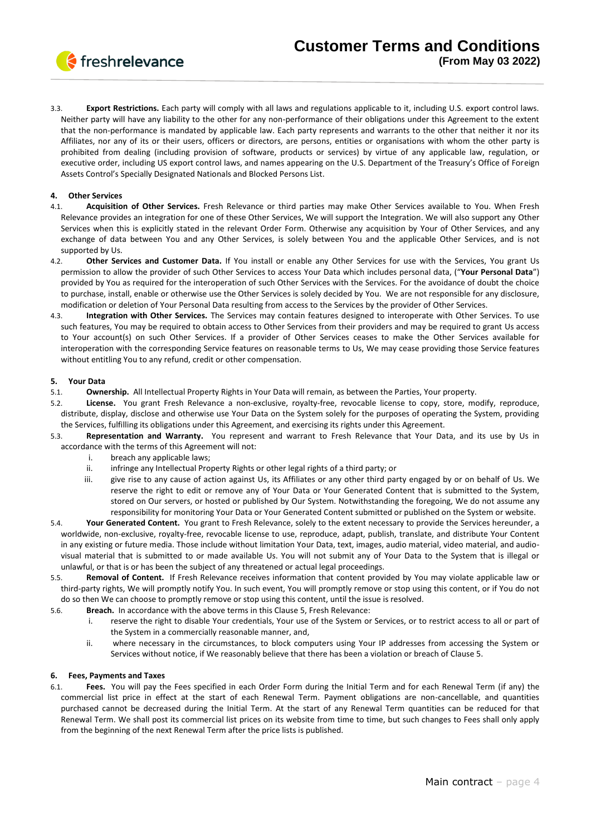

3.3. **Export Restrictions.** Each party will comply with all laws and regulations applicable to it, including U.S. export control laws. Neither party will have any liability to the other for any non-performance of their obligations under this Agreement to the extent that the non-performance is mandated by applicable law. Each party represents and warrants to the other that neither it nor its Affiliates, nor any of its or their users, officers or directors, are persons, entities or organisations with whom the other party is prohibited from dealing (including provision of software, products or services) by virtue of any applicable law, regulation, or executive order, including US export control laws, and names appearing on the U.S. Department of the Treasury's Office of Foreign Assets Control's Specially Designated Nationals and Blocked Persons List.

## **4. Other Services**

- 4.1. **Acquisition of Other Services.** Fresh Relevance or third parties may make Other Services available to You. When Fresh Relevance provides an integration for one of these Other Services, We will support the Integration. We will also support any Other Services when this is explicitly stated in the relevant Order Form. Otherwise any acquisition by Your of Other Services, and any exchange of data between You and any Other Services, is solely between You and the applicable Other Services, and is not supported by Us.
- 4.2. **Other Services and Customer Data.** If You install or enable any Other Services for use with the Services, You grant Us permission to allow the provider of such Other Services to access Your Data which includes personal data, ("**Your Personal Data**") provided by You as required for the interoperation of such Other Services with the Services. For the avoidance of doubt the choice to purchase, install, enable or otherwise use the Other Services is solely decided by You. We are not responsible for any disclosure, modification or deletion of Your Personal Data resulting from access to the Services by the provider of Other Services.
- 4.3. **Integration with Other Services.** The Services may contain features designed to interoperate with Other Services. To use such features, You may be required to obtain access to Other Services from their providers and may be required to grant Us access to Your account(s) on such Other Services. If a provider of Other Services ceases to make the Other Services available for interoperation with the corresponding Service features on reasonable terms to Us, We may cease providing those Service features without entitling You to any refund, credit or other compensation.

### **5. Your Data**

- 5.1. **Ownership.** All Intellectual Property Rights in Your Data will remain, as between the Parties, Your property.
- 5.2. **License.** You grant Fresh Relevance a non-exclusive, royalty-free, revocable license to copy, store, modify, reproduce, distribute, display, disclose and otherwise use Your Data on the System solely for the purposes of operating the System, providing the Services, fulfilling its obligations under this Agreement, and exercising its rights under this Agreement.
- 5.3. **Representation and Warranty.** You represent and warrant to Fresh Relevance that Your Data, and its use by Us in accordance with the terms of this Agreement will not:
	- i. breach any applicable laws;
	- ii. infringe any Intellectual Property Rights or other legal rights of a third party; or
	- iii. give rise to any cause of action against Us, its Affiliates or any other third party engaged by or on behalf of Us. We reserve the right to edit or remove any of Your Data or Your Generated Content that is submitted to the System, stored on Our servers, or hosted or published by Our System. Notwithstanding the foregoing, We do not assume any responsibility for monitoring Your Data or Your Generated Content submitted or published on the System or website.
- 5.4. **Your Generated Content.** You grant to Fresh Relevance, solely to the extent necessary to provide the Services hereunder, a worldwide, non-exclusive, royalty-free, revocable license to use, reproduce, adapt, publish, translate, and distribute Your Content in any existing or future media. Those include without limitation Your Data, text, images, audio material, video material, and audiovisual material that is submitted to or made available Us. You will not submit any of Your Data to the System that is illegal or unlawful, or that is or has been the subject of any threatened or actual legal proceedings.
- 5.5. **Removal of Content.** If Fresh Relevance receives information that content provided by You may violate applicable law or third-party rights, We will promptly notify You. In such event, You will promptly remove or stop using this content, or if You do not do so then We can choose to promptly remove or stop using this content, until the issue is resolved.
- 5.6. **Breach.** In accordance with the above terms in this Clause 5, Fresh Relevance:
	- i. reserve the right to disable Your credentials, Your use of the System or Services, or to restrict access to all or part of the System in a commercially reasonable manner, and,
	- ii. where necessary in the circumstances, to block computers using Your IP addresses from accessing the System or Services without notice, if We reasonably believe that there has been a violation or breach of Clause 5.

## **6. Fees, Payments and Taxes**

6.1. **Fees.** You will pay the Fees specified in each Order Form during the Initial Term and for each Renewal Term (if any) the commercial list price in effect at the start of each Renewal Term. Payment obligations are non-cancellable, and quantities purchased cannot be decreased during the Initial Term. At the start of any Renewal Term quantities can be reduced for that Renewal Term. We shall post its commercial list prices on its website from time to time, but such changes to Fees shall only apply from the beginning of the next Renewal Term after the price lists is published.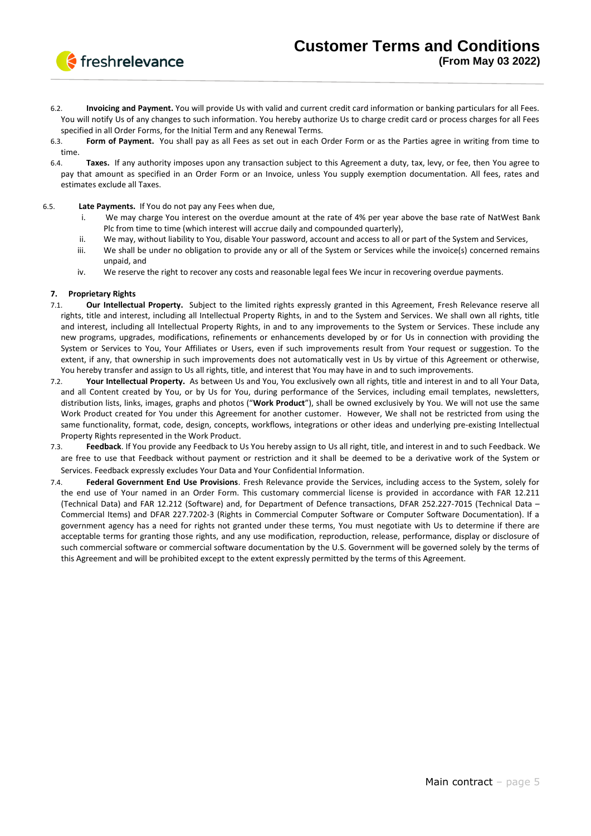

- 6.2. **Invoicing and Payment.** You will provide Us with valid and current credit card information or banking particulars for all Fees. You will notify Us of any changes to such information. You hereby authorize Us to charge credit card or process charges for all Fees specified in all Order Forms, for the Initial Term and any Renewal Terms.
- 6.3. **Form of Payment.** You shall pay as all Fees as set out in each Order Form or as the Parties agree in writing from time to time.
- 6.4. **Taxes.** If any authority imposes upon any transaction subject to this Agreement a duty, tax, levy, or fee, then You agree to pay that amount as specified in an Order Form or an Invoice, unless You supply exemption documentation. All fees, rates and estimates exclude all Taxes.

## 6.5. **Late Payments.** If You do not pay any Fees when due,

- i. We may charge You interest on the overdue amount at the rate of 4% per year above the base rate of NatWest Bank Plc from time to time (which interest will accrue daily and compounded quarterly),
- ii. We may, without liability to You, disable Your password, account and access to all or part of the System and Services,
- iii. We shall be under no obligation to provide any or all of the System or Services while the invoice(s) concerned remains unpaid, and
- iv. We reserve the right to recover any costs and reasonable legal fees We incur in recovering overdue payments.

### **7. Proprietary Rights**

- 7.1. **Our Intellectual Property.** Subject to the limited rights expressly granted in this Agreement, Fresh Relevance reserve all rights, title and interest, including all Intellectual Property Rights, in and to the System and Services. We shall own all rights, title and interest, including all Intellectual Property Rights, in and to any improvements to the System or Services. These include any new programs, upgrades, modifications, refinements or enhancements developed by or for Us in connection with providing the System or Services to You, Your Affiliates or Users, even if such improvements result from Your request or suggestion. To the extent, if any, that ownership in such improvements does not automatically vest in Us by virtue of this Agreement or otherwise, You hereby transfer and assign to Us all rights, title, and interest that You may have in and to such improvements.
- 7.2. **Your Intellectual Property.** As between Us and You, You exclusively own all rights, title and interest in and to all Your Data, and all Content created by You, or by Us for You, during performance of the Services, including email templates, newsletters, distribution lists, links, images, graphs and photos ("**Work Product**"), shall be owned exclusively by You. We will not use the same Work Product created for You under this Agreement for another customer. However, We shall not be restricted from using the same functionality, format, code, design, concepts, workflows, integrations or other ideas and underlying pre-existing Intellectual Property Rights represented in the Work Product.
- 7.3. **Feedback**. If You provide any Feedback to Us You hereby assign to Us all right, title, and interest in and to such Feedback. We are free to use that Feedback without payment or restriction and it shall be deemed to be a derivative work of the System or Services. Feedback expressly excludes Your Data and Your Confidential Information.
- 7.4. **Federal Government End Use Provisions**. Fresh Relevance provide the Services, including access to the System, solely for the end use of Your named in an Order Form. This customary commercial license is provided in accordance with FAR 12.211 (Technical Data) and FAR 12.212 (Software) and, for Department of Defence transactions, DFAR 252.227-7015 (Technical Data – Commercial Items) and DFAR 227.7202-3 (Rights in Commercial Computer Software or Computer Software Documentation). If a government agency has a need for rights not granted under these terms, You must negotiate with Us to determine if there are acceptable terms for granting those rights, and any use modification, reproduction, release, performance, display or disclosure of such commercial software or commercial software documentation by the U.S. Government will be governed solely by the terms of this Agreement and will be prohibited except to the extent expressly permitted by the terms of this Agreement.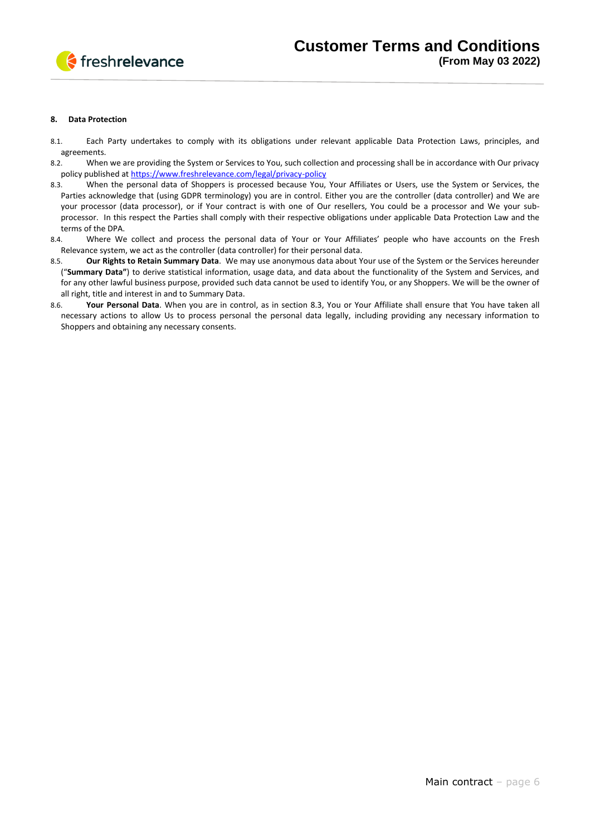

#### **8. Data Protection**

- 8.1. Each Party undertakes to comply with its obligations under relevant applicable Data Protection Laws, principles, and agreements.
- 8.2. When we are providing the System or Services to You, such collection and processing shall be in accordance with Our privacy policy published at<https://www.freshrelevance.com/legal/privacy-policy>
- 8.3. When the personal data of Shoppers is processed because You, Your Affiliates or Users, use the System or Services, the Parties acknowledge that (using GDPR terminology) you are in control. Either you are the controller (data controller) and We are your processor (data processor), or if Your contract is with one of Our resellers, You could be a processor and We your subprocessor. In this respect the Parties shall comply with their respective obligations under applicable Data Protection Law and the terms of the DPA.
- 8.4. Where We collect and process the personal data of Your or Your Affiliates' people who have accounts on the Fresh Relevance system, we act as the controller (data controller) for their personal data.
- 8.5. **Our Rights to Retain Summary Data**. We may use anonymous data about Your use of the System or the Services hereunder ("**Summary Data"**) to derive statistical information, usage data, and data about the functionality of the System and Services, and for any other lawful business purpose, provided such data cannot be used to identify You, or any Shoppers. We will be the owner of all right, title and interest in and to Summary Data.
- 8.6. **Your Personal Data**. When you are in control, as in section 8.3, You or Your Affiliate shall ensure that You have taken all necessary actions to allow Us to process personal the personal data legally, including providing any necessary information to Shoppers and obtaining any necessary consents.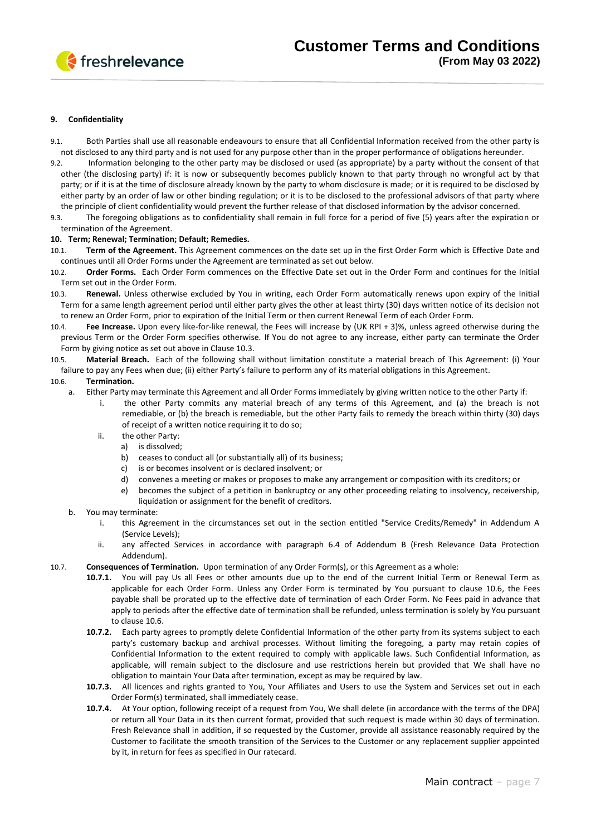

### **9. Confidentiality**

- 9.1. Both Parties shall use all reasonable endeavours to ensure that all Confidential Information received from the other party is not disclosed to any third party and is not used for any purpose other than in the proper performance of obligations hereunder.
- 9.2. Information belonging to the other party may be disclosed or used (as appropriate) by a party without the consent of that other (the disclosing party) if: it is now or subsequently becomes publicly known to that party through no wrongful act by that party; or if it is at the time of disclosure already known by the party to whom disclosure is made; or it is required to be disclosed by either party by an order of law or other binding regulation; or it is to be disclosed to the professional advisors of that party where the principle of client confidentiality would prevent the further release of that disclosed information by the advisor concerned.
- 9.3. The foregoing obligations as to confidentiality shall remain in full force for a period of five (5) years after the expiration or termination of the Agreement.

#### **10. Term; Renewal; Termination; Default; Remedies.**

- 10.1. **Term of the Agreement.** This Agreement commences on the date set up in the first Order Form which is Effective Date and continues until all Order Forms under the Agreement are terminated as set out below.
- 10.2. **Order Forms.** Each Order Form commences on the Effective Date set out in the Order Form and continues for the Initial Term set out in the Order Form.
- 10.3. **Renewal.** Unless otherwise excluded by You in writing, each Order Form automatically renews upon expiry of the Initial Term for a same length agreement period until either party gives the other at least thirty (30) days written notice of its decision not to renew an Order Form, prior to expiration of the Initial Term or then current Renewal Term of each Order Form.
- 10.4. **Fee Increase.** Upon every like-for-like renewal, the Fees will increase by (UK RPI + 3)%, unless agreed otherwise during the previous Term or the Order Form specifies otherwise. If You do not agree to any increase, either party can terminate the Order Form by giving notice as set out above in Clause 10.3.
- 10.5. **Material Breach.** Each of the following shall without limitation constitute a material breach of This Agreement: (i) Your failure to pay any Fees when due; (ii) either Party's failure to perform any of its material obligations in this Agreement.

#### 10.6. **Termination.**

- a. Either Party may terminate this Agreement and all Order Forms immediately by giving written notice to the other Party if:
	- i. the other Party commits any material breach of any terms of this Agreement, and (a) the breach is not remediable, or (b) the breach is remediable, but the other Party fails to remedy the breach within thirty (30) days of receipt of a written notice requiring it to do so;
	- ii. the other Party:
		- a) is dissolved;
			- b) ceases to conduct all (or substantially all) of its business;
			- c) is or becomes insolvent or is declared insolvent; or
			- d) convenes a meeting or makes or proposes to make any arrangement or composition with its creditors; or
			- e) becomes the subject of a petition in bankruptcy or any other proceeding relating to insolvency, receivership, liquidation or assignment for the benefit of creditors.
- b. You may terminate:
	- i. this Agreement in the circumstances set out in the section entitled "Service Credits/Remedy" in Addendum A (Service Levels);
	- ii. any affected Services in accordance with paragraph 6.4 of Addendum B (Fresh Relevance Data Protection Addendum).
- 10.7. **Consequences of Termination.** Upon termination of any Order Form(s), or this Agreement as a whole:
	- **10.7.1.** You will pay Us all Fees or other amounts due up to the end of the current Initial Term or Renewal Term as applicable for each Order Form. Unless any Order Form is terminated by You pursuant to clause 10.6, the Fees payable shall be prorated up to the effective date of termination of each Order Form. No Fees paid in advance that apply to periods after the effective date of termination shall be refunded, unless termination is solely by You pursuant to clause 10.6.
	- **10.7.2.** Each party agrees to promptly delete Confidential Information of the other party from its systems subject to each party's customary backup and archival processes. Without limiting the foregoing, a party may retain copies of Confidential Information to the extent required to comply with applicable laws. Such Confidential Information, as applicable, will remain subject to the disclosure and use restrictions herein but provided that We shall have no obligation to maintain Your Data after termination, except as may be required by law.
	- **10.7.3.** All licences and rights granted to You, Your Affiliates and Users to use the System and Services set out in each Order Form(s) terminated, shall immediately cease.
	- **10.7.4.** At Your option, following receipt of a request from You, We shall delete (in accordance with the terms of the DPA) or return all Your Data in its then current format, provided that such request is made within 30 days of termination. Fresh Relevance shall in addition, if so requested by the Customer, provide all assistance reasonably required by the Customer to facilitate the smooth transition of the Services to the Customer or any replacement supplier appointed by it, in return for fees as specified in Our ratecard.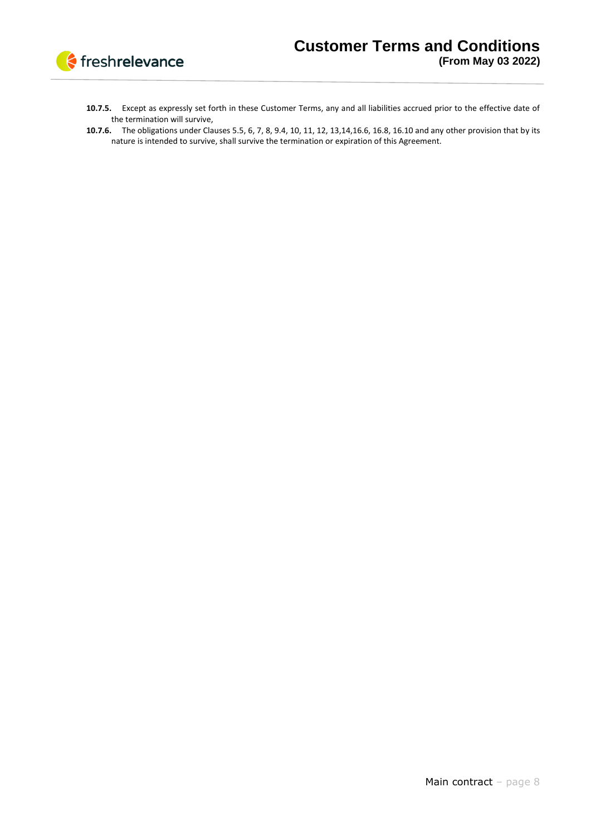

- **10.7.5.** Except as expressly set forth in these Customer Terms, any and all liabilities accrued prior to the effective date of the termination will survive,
- **10.7.6.** The obligations under Clauses 5.5, 6, 7, 8, 9.4, 10, 11, 12, 13,14,16.6, 16.8, 16.10 and any other provision that by its nature is intended to survive, shall survive the termination or expiration of this Agreement.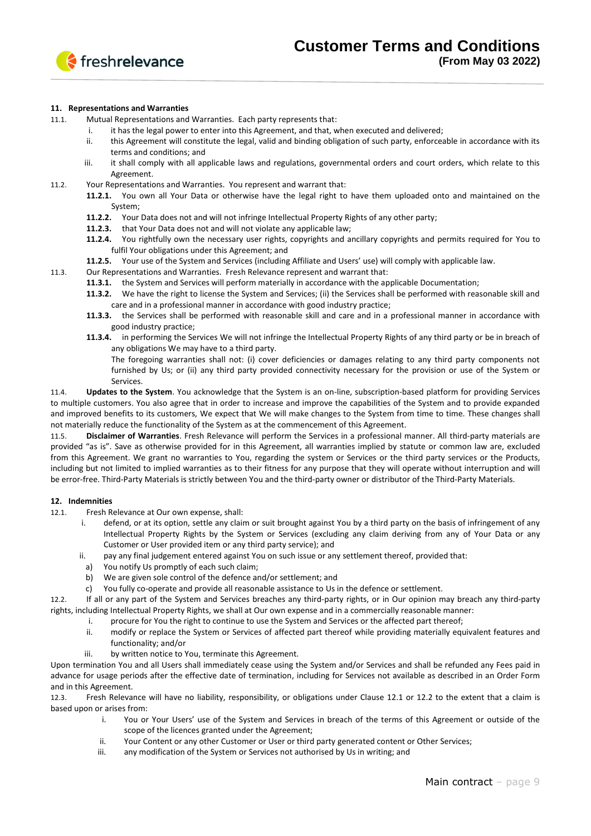

### **11. Representations and Warranties**

11.1. Mutual Representations and Warranties. Each party represents that:

- i. it has the legal power to enter into this Agreement, and that, when executed and delivered;
- ii. this Agreement will constitute the legal, valid and binding obligation of such party, enforceable in accordance with its terms and conditions; and
- iii. it shall comply with all applicable laws and regulations, governmental orders and court orders, which relate to this Agreement.
- 11.2. Your Representations and Warranties. You represent and warrant that:
	- **11.2.1.** You own all Your Data or otherwise have the legal right to have them uploaded onto and maintained on the System;
	- **11.2.2.** Your Data does not and will not infringe Intellectual Property Rights of any other party;
	- **11.2.3.** that Your Data does not and will not violate any applicable law;
	- **11.2.4.** You rightfully own the necessary user rights, copyrights and ancillary copyrights and permits required for You to fulfil Your obligations under this Agreement; and
	- **11.2.5.** Your use of the System and Services (including Affiliate and Users' use) will comply with applicable law.
- 11.3. Our Representations and Warranties. Fresh Relevance represent and warrant that:
	- **11.3.1.** the System and Services will perform materially in accordance with the applicable Documentation;
	- **11.3.2.** We have the right to license the System and Services; (ii) the Services shall be performed with reasonable skill and care and in a professional manner in accordance with good industry practice;
	- **11.3.3.** the Services shall be performed with reasonable skill and care and in a professional manner in accordance with good industry practice;
	- **11.3.4.** in performing the Services We will not infringe the Intellectual Property Rights of any third party or be in breach of any obligations We may have to a third party.
		- The foregoing warranties shall not: (i) cover deficiencies or damages relating to any third party components not furnished by Us; or (ii) any third party provided connectivity necessary for the provision or use of the System or Services.

11.4. **Updates to the System**. You acknowledge that the System is an on-line, subscription-based platform for providing Services to multiple customers. You also agree that in order to increase and improve the capabilities of the System and to provide expanded and improved benefits to its customers, We expect that We will make changes to the System from time to time. These changes shall not materially reduce the functionality of the System as at the commencement of this Agreement.

11.5. **Disclaimer of Warranties**. Fresh Relevance will perform the Services in a professional manner. All third-party materials are provided "as is". Save as otherwise provided for in this Agreement, all warranties implied by statute or common law are, excluded from this Agreement. We grant no warranties to You, regarding the system or Services or the third party services or the Products, including but not limited to implied warranties as to their fitness for any purpose that they will operate without interruption and will be error-free. Third-Party Materials is strictly between You and the third-party owner or distributor of the Third-Party Materials.

#### **12. Indemnities**

12.1. Fresh Relevance at Our own expense, shall:

- i. defend, or at its option, settle any claim or suit brought against You by a third party on the basis of infringement of any Intellectual Property Rights by the System or Services (excluding any claim deriving from any of Your Data or any Customer or User provided item or any third party service); and
- ii. pay any final judgement entered against You on such issue or any settlement thereof, provided that:
	- a) You notify Us promptly of each such claim;
	- b) We are given sole control of the defence and/or settlement; and
	- c) You fully co-operate and provide all reasonable assistance to Us in the defence or settlement.

12.2. If all or any part of the System and Services breaches any third-party rights, or in Our opinion may breach any third-party rights, including Intellectual Property Rights, we shall at Our own expense and in a commercially reasonable manner:

- i. procure for You the right to continue to use the System and Services or the affected part thereof;
- ii. modify or replace the System or Services of affected part thereof while providing materially equivalent features and functionality; and/or
- iii. by written notice to You, terminate this Agreement.

Upon termination You and all Users shall immediately cease using the System and/or Services and shall be refunded any Fees paid in advance for usage periods after the effective date of termination, including for Services not available as described in an Order Form and in this Agreement.

12.3. Fresh Relevance will have no liability, responsibility, or obligations under Clause 12.1 or 12.2 to the extent that a claim is based upon or arises from:

- i. You or Your Users' use of the System and Services in breach of the terms of this Agreement or outside of the scope of the licences granted under the Agreement;
- ii. Your Content or any other Customer or User or third party generated content or Other Services;
- iii. any modification of the System or Services not authorised by Us in writing; and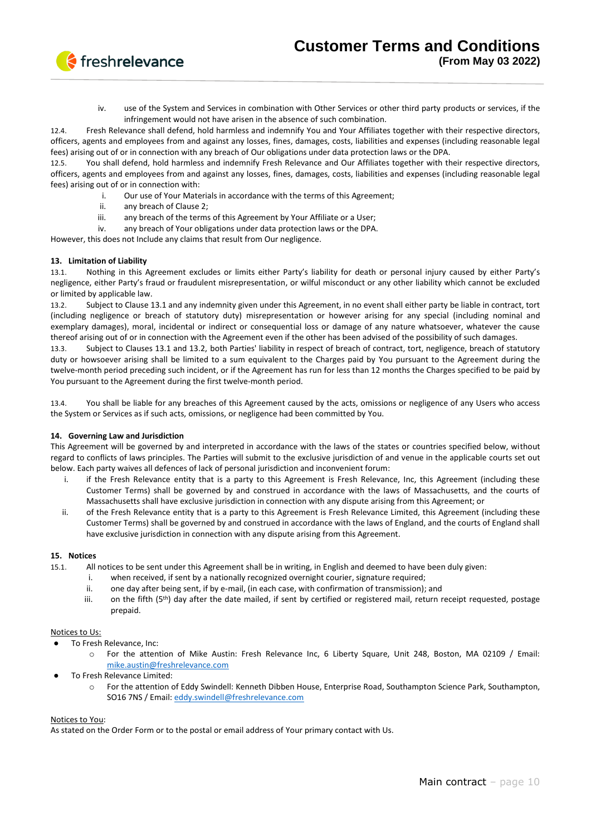

iv. use of the System and Services in combination with Other Services or other third party products or services, if the infringement would not have arisen in the absence of such combination.

12.4. Fresh Relevance shall defend, hold harmless and indemnify You and Your Affiliates together with their respective directors, officers, agents and employees from and against any losses, fines, damages, costs, liabilities and expenses (including reasonable legal fees) arising out of or in connection with any breach of Our obligations under data protection laws or the DPA.

12.5. You shall defend, hold harmless and indemnify Fresh Relevance and Our Affiliates together with their respective directors, officers, agents and employees from and against any losses, fines, damages, costs, liabilities and expenses (including reasonable legal fees) arising out of or in connection with:

- i. Our use of Your Materials in accordance with the terms of this Agreement;
- ii. any breach of Clause 2;
- iii. any breach of the terms of this Agreement by Your Affiliate or a User;
- iv. any breach of Your obligations under data protection laws or the DPA.

However, this does not Include any claims that result from Our negligence.

### **13. Limitation of Liability**

13.1. Nothing in this Agreement excludes or limits either Party's liability for death or personal injury caused by either Party's negligence, either Party's fraud or fraudulent misrepresentation, or wilful misconduct or any other liability which cannot be excluded or limited by applicable law.

13.2. Subject to Clause 13.1 and any indemnity given under this Agreement, in no event shall either party be liable in contract, tort (including negligence or breach of statutory duty) misrepresentation or however arising for any special (including nominal and exemplary damages), moral, incidental or indirect or consequential loss or damage of any nature whatsoever, whatever the cause thereof arising out of or in connection with the Agreement even if the other has been advised of the possibility of such damages.

13.3. Subject to Clauses 13.1 and 13.2, both Parties' liability in respect of breach of contract, tort, negligence, breach of statutory duty or howsoever arising shall be limited to a sum equivalent to the Charges paid by You pursuant to the Agreement during the twelve-month period preceding such incident, or if the Agreement has run for less than 12 months the Charges specified to be paid by You pursuant to the Agreement during the first twelve-month period.

13.4. You shall be liable for any breaches of this Agreement caused by the acts, omissions or negligence of any Users who access the System or Services as if such acts, omissions, or negligence had been committed by You.

## **14. Governing Law and Jurisdiction**

This Agreement will be governed by and interpreted in accordance with the laws of the states or countries specified below, without regard to conflicts of laws principles. The Parties will submit to the exclusive jurisdiction of and venue in the applicable courts set out below. Each party waives all defences of lack of personal jurisdiction and inconvenient forum:

- i. if the Fresh Relevance entity that is a party to this Agreement is Fresh Relevance, Inc, this Agreement (including these Customer Terms) shall be governed by and construed in accordance with the laws of Massachusetts, and the courts of Massachusetts shall have exclusive jurisdiction in connection with any dispute arising from this Agreement; or
- ii. of the Fresh Relevance entity that is a party to this Agreement is Fresh Relevance Limited, this Agreement (including these Customer Terms) shall be governed by and construed in accordance with the laws of England, and the courts of England shall have exclusive jurisdiction in connection with any dispute arising from this Agreement.

#### **15. Notices**

- 15.1. All notices to be sent under this Agreement shall be in writing, in English and deemed to have been duly given:
	- i. when received, if sent by a nationally recognized overnight courier, signature required;
	- ii. one day after being sent, if by e-mail, (in each case, with confirmation of transmission); and
	- iii. on the fifth  $(5<sup>th</sup>)$  day after the date mailed, if sent by certified or registered mail, return receipt requested, postage prepaid.

#### Notices to Us:

- To Fresh Relevance, Inc:
	- For the attention of Mike Austin: Fresh Relevance Inc, 6 Liberty Square, Unit 248, Boston, MA 02109 / Email: [mike.austin@freshrelevance.com](mailto:mike.austin@freshrelevance.com)
- To Fresh Relevance Limited:
	- o For the attention of Eddy Swindell: Kenneth Dibben House, Enterprise Road, Southampton Science Park, Southampton, SO16 7NS / Email[: eddy.swindell@freshrelevance.com](mailto:eddy.swindell@freshrelevance.com)

#### Notices to You:

As stated on the Order Form or to the postal or email address of Your primary contact with Us.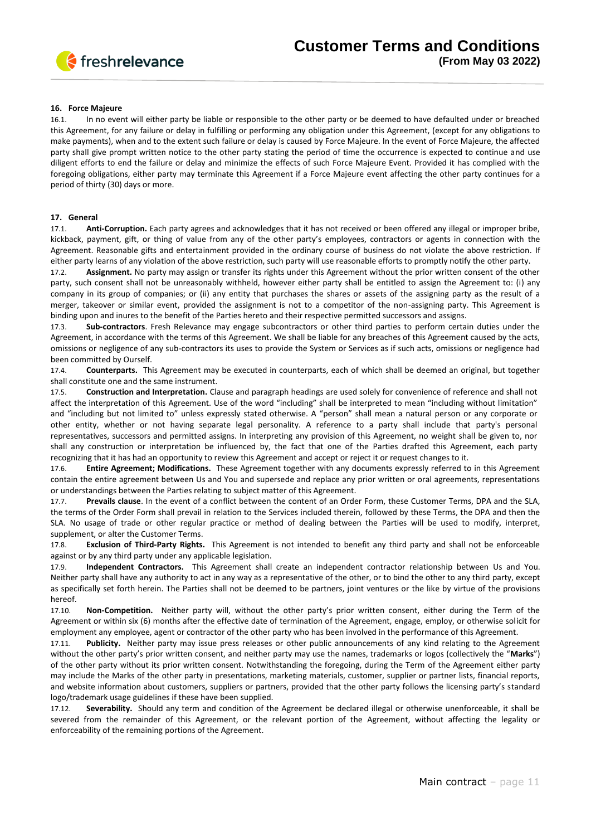

### **16. Force Majeure**

16.1. In no event will either party be liable or responsible to the other party or be deemed to have defaulted under or breached this Agreement, for any failure or delay in fulfilling or performing any obligation under this Agreement, (except for any obligations to make payments), when and to the extent such failure or delay is caused by Force Majeure. In the event of Force Majeure, the affected party shall give prompt written notice to the other party stating the period of time the occurrence is expected to continue and use diligent efforts to end the failure or delay and minimize the effects of such Force Majeure Event. Provided it has complied with the foregoing obligations, either party may terminate this Agreement if a Force Majeure event affecting the other party continues for a period of thirty (30) days or more.

#### **17. General**

17.1. **Anti-Corruption.** Each party agrees and acknowledges that it has not received or been offered any illegal or improper bribe, kickback, payment, gift, or thing of value from any of the other party's employees, contractors or agents in connection with the Agreement. Reasonable gifts and entertainment provided in the ordinary course of business do not violate the above restriction. If either party learns of any violation of the above restriction, such party will use reasonable efforts to promptly notify the other party.

17.2. **Assignment.** No party may assign or transfer its rights under this Agreement without the prior written consent of the other party, such consent shall not be unreasonably withheld, however either party shall be entitled to assign the Agreement to: (i) any company in its group of companies; or (ii) any entity that purchases the shares or assets of the assigning party as the result of a merger, takeover or similar event, provided the assignment is not to a competitor of the non-assigning party. This Agreement is binding upon and inures to the benefit of the Parties hereto and their respective permitted successors and assigns.

17.3. **Sub-contractors**. Fresh Relevance may engage subcontractors or other third parties to perform certain duties under the Agreement, in accordance with the terms of this Agreement. We shall be liable for any breaches of this Agreement caused by the acts, omissions or negligence of any sub-contractors its uses to provide the System or Services as if such acts, omissions or negligence had been committed by Ourself.

17.4. **Counterparts.** This Agreement may be executed in counterparts, each of which shall be deemed an original, but together shall constitute one and the same instrument.

17.5. **Construction and Interpretation.** Clause and paragraph headings are used solely for convenience of reference and shall not affect the interpretation of this Agreement. Use of the word "including" shall be interpreted to mean "including without limitation" and "including but not limited to" unless expressly stated otherwise. A "person" shall mean a natural person or any corporate or other entity, whether or not having separate legal personality. A reference to a party shall include that party's personal representatives, successors and permitted assigns. In interpreting any provision of this Agreement, no weight shall be given to, nor shall any construction or interpretation be influenced by, the fact that one of the Parties drafted this Agreement, each party recognizing that it has had an opportunity to review this Agreement and accept or reject it or request changes to it.

17.6. **Entire Agreement; Modifications.** These Agreement together with any documents expressly referred to in this Agreement contain the entire agreement between Us and You and supersede and replace any prior written or oral agreements, representations or understandings between the Parties relating to subject matter of this Agreement.

17.7. **Prevails clause**. In the event of a conflict between the content of an Order Form, these Customer Terms, DPA and the SLA, the terms of the Order Form shall prevail in relation to the Services included therein, followed by these Terms, the DPA and then the SLA. No usage of trade or other regular practice or method of dealing between the Parties will be used to modify, interpret, supplement, or alter the Customer Terms.

17.8. **Exclusion of Third-Party Rights.** This Agreement is not intended to benefit any third party and shall not be enforceable against or by any third party under any applicable legislation.

17.9. **Independent Contractors.** This Agreement shall create an independent contractor relationship between Us and You. Neither party shall have any authority to act in any way as a representative of the other, or to bind the other to any third party, except as specifically set forth herein. The Parties shall not be deemed to be partners, joint ventures or the like by virtue of the provisions hereof.

17.10. **Non-Competition.** Neither party will, without the other party's prior written consent, either during the Term of the Agreement or within six (6) months after the effective date of termination of the Agreement, engage, employ, or otherwise solicit for employment any employee, agent or contractor of the other party who has been involved in the performance of this Agreement.

17.11. **Publicity.** Neither party may issue press releases or other public announcements of any kind relating to the Agreement without the other party's prior written consent, and neither party may use the names, trademarks or logos (collectively the "**Marks**") of the other party without its prior written consent. Notwithstanding the foregoing, during the Term of the Agreement either party may include the Marks of the other party in presentations, marketing materials, customer, supplier or partner lists, financial reports, and website information about customers, suppliers or partners, provided that the other party follows the licensing party's standard logo/trademark usage guidelines if these have been supplied.

17.12. **Severability.** Should any term and condition of the Agreement be declared illegal or otherwise unenforceable, it shall be severed from the remainder of this Agreement, or the relevant portion of the Agreement, without affecting the legality or enforceability of the remaining portions of the Agreement.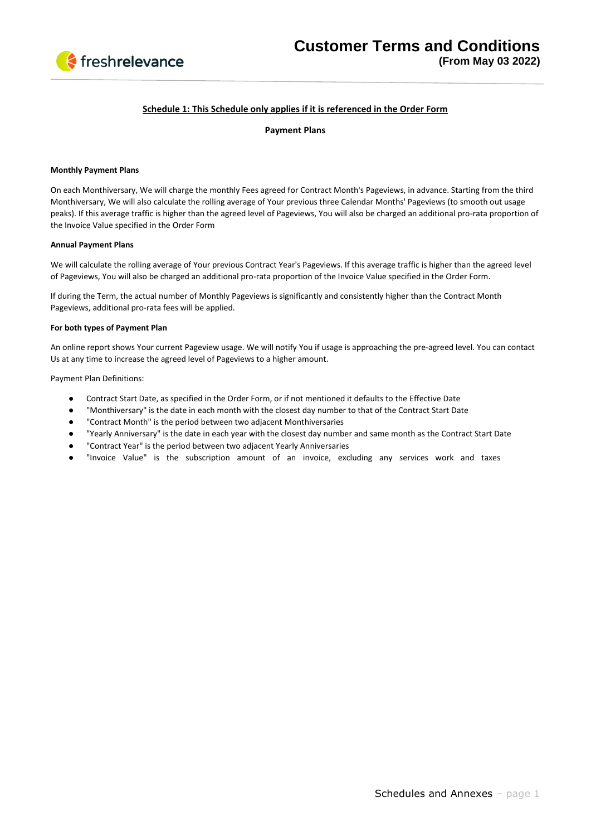

## **Schedule 1: This Schedule only applies if it is referenced in the Order Form**

## **Payment Plans**

### **Monthly Payment Plans**

On each Monthiversary, We will charge the monthly Fees agreed for Contract Month's Pageviews, in advance. Starting from the third Monthiversary, We will also calculate the rolling average of Your previous three Calendar Months' Pageviews (to smooth out usage peaks). If this average traffic is higher than the agreed level of Pageviews, You will also be charged an additional pro-rata proportion of the Invoice Value specified in the Order Form

### **Annual Payment Plans**

We will calculate the rolling average of Your previous Contract Year's Pageviews. If this average traffic is higher than the agreed level of Pageviews, You will also be charged an additional pro-rata proportion of the Invoice Value specified in the Order Form.

If during the Term, the actual number of Monthly Pageviews is significantly and consistently higher than the Contract Month Pageviews, additional pro-rata fees will be applied.

#### **For both types of Payment Plan**

An online report shows Your current Pageview usage. We will notify You if usage is approaching the pre-agreed level. You can contact Us at any time to increase the agreed level of Pageviews to a higher amount.

Payment Plan Definitions:

- Contract Start Date, as specified in the Order Form, or if not mentioned it defaults to the Effective Date
- "Monthiversary" is the date in each month with the closest day number to that of the Contract Start Date
- "Contract Month" is the period between two adjacent Monthiversaries
- "Yearly Anniversary" is the date in each year with the closest day number and same month as the Contract Start Date
- "Contract Year" is the period between two adjacent Yearly Anniversaries
- "Invoice Value" is the subscription amount of an invoice, excluding any services work and taxes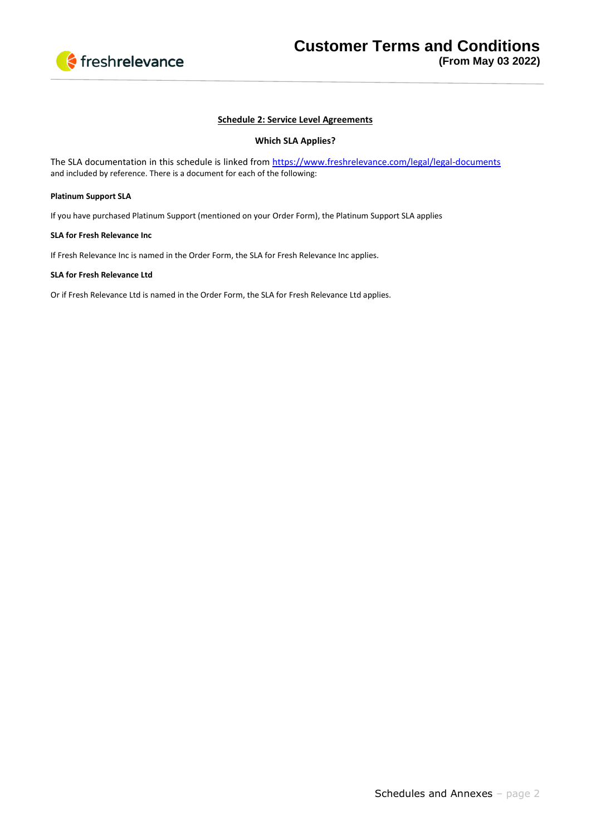

# **Schedule 2: Service Level Agreements**

## **Which SLA Applies?**

The SLA documentation in this schedule is linked from<https://www.freshrelevance.com/legal/legal-documents> and included by reference. There is a document for each of the following:

### **Platinum Support SLA**

If you have purchased Platinum Support (mentioned on your Order Form), the Platinum Support SLA applies

## **SLA for Fresh Relevance Inc**

If Fresh Relevance Inc is named in the Order Form, the SLA for Fresh Relevance Inc applies.

## **SLA for Fresh Relevance Ltd**

Or if Fresh Relevance Ltd is named in the Order Form, the SLA for Fresh Relevance Ltd applies.